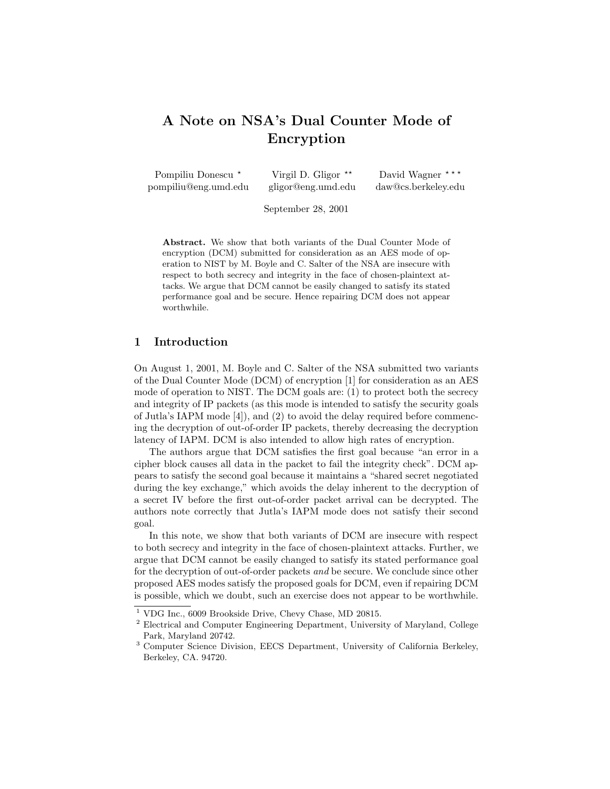# A Note on NSA's Dual Counter Mode of Encryption

| Pompiliu Donescu *   | Virgil D. Gligor $**$ | David Wagner ***    |
|----------------------|-----------------------|---------------------|
| pompiliu@eng.umd.edu | gligor@eng.umd.edu    | daw@cs.berkeley.edu |

September 28, 2001

Abstract. We show that both variants of the Dual Counter Mode of encryption (DCM) submitted for consideration as an AES mode of operation to NIST by M. Boyle and C. Salter of the NSA are insecure with respect to both secrecy and integrity in the face of chosen-plaintext attacks. We argue that DCM cannot be easily changed to satisfy its stated performance goal and be secure. Hence repairing DCM does not appear worthwhile.

## 1 Introduction

On August 1, 2001, M. Boyle and C. Salter of the NSA submitted two variants of the Dual Counter Mode (DCM) of encryption [1] for consideration as an AES mode of operation to NIST. The DCM goals are: (1) to protect both the secrecy and integrity of IP packets (as this mode is intended to satisfy the security goals of Jutla's IAPM mode [4]), and (2) to avoid the delay required before commencing the decryption of out-of-order IP packets, thereby decreasing the decryption latency of IAPM. DCM is also intended to allow high rates of encryption.

The authors argue that DCM satisfies the first goal because "an error in a cipher block causes all data in the packet to fail the integrity check". DCM appears to satisfy the second goal because it maintains a "shared secret negotiated during the key exchange," which avoids the delay inherent to the decryption of a secret IV before the first out-of-order packet arrival can be decrypted. The authors note correctly that Jutla's IAPM mode does not satisfy their second goal.

In this note, we show that both variants of DCM are insecure with respect to both secrecy and integrity in the face of chosen-plaintext attacks. Further, we argue that DCM cannot be easily changed to satisfy its stated performance goal for the decryption of out-of-order packets and be secure. We conclude since other proposed AES modes satisfy the proposed goals for DCM, even if repairing DCM is possible, which we doubt, such an exercise does not appear to be worthwhile.

<sup>1</sup> VDG Inc., 6009 Brookside Drive, Chevy Chase, MD 20815.

<sup>2</sup> Electrical and Computer Engineering Department, University of Maryland, College Park, Maryland 20742.

<sup>3</sup> Computer Science Division, EECS Department, University of California Berkeley, Berkeley, CA. 94720.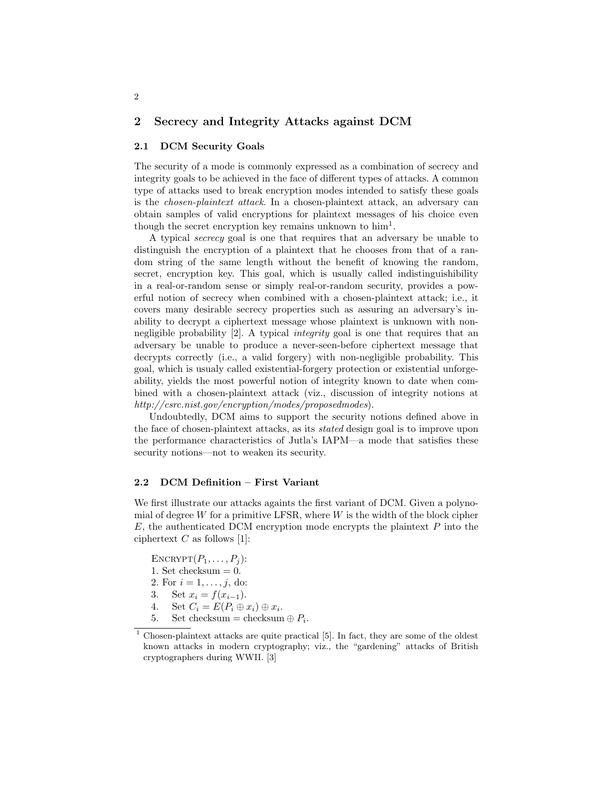### 2 Secrecy and Integrity Attacks against DCM

## 2.1 DCM Security Goals

The security of a mode is commonly expressed as a combination of secrecy and integrity goals to be achieved in the face of different types of attacks. A common type of attacks used to break encryption modes intended to satisfy these goals is the chosen-plaintext attack. In a chosen-plaintext attack, an adversary can obtain samples of valid encryptions for plaintext messages of his choice even though the secret encryption key remains unknown to  $\text{him}^1$ .

A typical secrecy goal is one that requires that an adversary be unable to distinguish the encryption of a plaintext that he chooses from that of a random string of the same length without the benefit of knowing the random, secret, encryption key. This goal, which is usually called indistinguishibility in a real-or-random sense or simply real-or-random security, provides a powerful notion of secrecy when combined with a chosen-plaintext attack; i.e., it covers many desirable secrecy properties such as assuring an adversary's inability to decrypt a ciphertext message whose plaintext is unknown with nonnegligible probability [2]. A typical integrity goal is one that requires that an adversary be unable to produce a never-seen-before ciphertext message that decrypts correctly (i.e., a valid forgery) with non-negligible probability. This goal, which is usualy called existential-forgery protection or existential unforgeability, yields the most powerful notion of integrity known to date when combined with a chosen-plaintext attack (viz., discussion of integrity notions at http://csrc.nist.gov/encryption/modes/proposedmodes).

Undoubtedly, DCM aims to support the security notions defined above in the face of chosen-plaintext attacks, as its stated design goal is to improve upon the performance characteristics of Jutla's IAPM—a mode that satisfies these security notions—not to weaken its security.

## 2.2 DCM Definition – First Variant

We first illustrate our attacks againts the first variant of DCM. Given a polynomial of degree W for a primitive LFSR, where  $W$  is the width of the block cipher  $E$ , the authenticated DCM encryption mode encrypts the plaintext  $P$  into the ciphertext  $C$  as follows [1]:

ENCRYPT $(P_1, \ldots, P_i)$ : 1. Set checksum  $= 0$ . 2. For  $i = 1, ..., j$ , do: 3. Set  $x_i = f(x_{i-1})$ . 4. Set  $C_i = E(P_i \oplus x_i) \oplus x_i$ . 5. Set checksum = checksum  $\oplus P_i$ .

<sup>1</sup> Chosen-plaintext attacks are quite practical [5]. In fact, they are some of the oldest known attacks in modern cryptography; viz., the "gardening" attacks of British cryptographers during WWII. [3]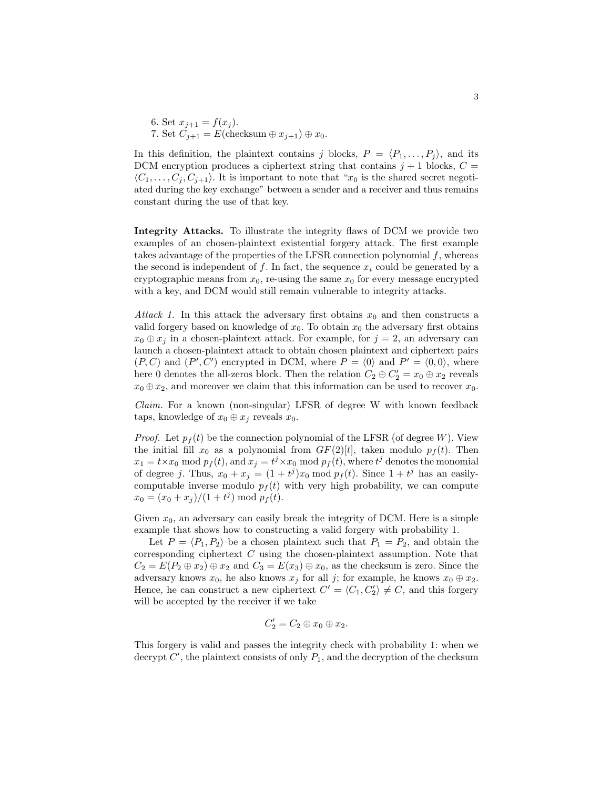6. Set 
$$
x_{j+1} = f(x_j)
$$
.  
7. Set  $C_{j+1} = E$ (checksum  $\oplus x_{j+1}$ )  $\oplus x_0$ .

In this definition, the plaintext contains j blocks,  $P = \langle P_1, \ldots, P_i \rangle$ , and its DCM encryption produces a ciphertext string that contains  $j + 1$  blocks,  $C =$  $\langle C_1, \ldots, C_i, C_{i+1} \rangle$ . It is important to note that " $x_0$  is the shared secret negotiated during the key exchange" between a sender and a receiver and thus remains constant during the use of that key.

Integrity Attacks. To illustrate the integrity flaws of DCM we provide two examples of an chosen-plaintext existential forgery attack. The first example takes advantage of the properties of the LFSR connection polynomial  $f$ , whereas the second is independent of f. In fact, the sequence  $x_i$  could be generated by a cryptographic means from  $x_0$ , re-using the same  $x_0$  for every message encrypted with a key, and DCM would still remain vulnerable to integrity attacks.

Attack 1. In this attack the adversary first obtains  $x_0$  and then constructs a valid forgery based on knowledge of  $x_0$ . To obtain  $x_0$  the adversary first obtains  $x_0 \oplus x_j$  in a chosen-plaintext attack. For example, for  $j = 2$ , an adversary can launch a chosen-plaintext attack to obtain chosen plaintext and ciphertext pairs  $(P, C)$  and  $(P', C')$  encrypted in DCM, where  $P = \langle 0 \rangle$  and  $P' = \langle 0, 0 \rangle$ , where here 0 denotes the all-zeros block. Then the relation  $C_2 \oplus C_2' = x_0 \oplus x_2$  reveals  $x_0 \oplus x_2$ , and moreover we claim that this information can be used to recover  $x_0$ .

Claim. For a known (non-singular) LFSR of degree W with known feedback taps, knowledge of  $x_0 \oplus x_i$  reveals  $x_0$ .

*Proof.* Let  $p_f(t)$  be the connection polynomial of the LFSR (of degree W). View the initial fill  $x_0$  as a polynomial from  $GF(2)[t]$ , taken modulo  $p_f(t)$ . Then  $x_1 = t \times x_0 \mod p_f(t)$ , and  $x_j = t^j \times x_0 \mod p_f(t)$ , where  $t^j$  denotes the monomial of degree j. Thus,  $x_0 + x_j = (1 + t^j)x_0 \mod p_f(t)$ . Since  $1 + t^j$  has an easilycomputable inverse modulo  $p_f(t)$  with very high probability, we can compute  $x_0 = (x_0 + x_j)/(1 + t^j) \bmod p_f(t).$ 

Given  $x_0$ , an adversary can easily break the integrity of DCM. Here is a simple example that shows how to constructing a valid forgery with probability 1.

Let  $P = \langle P_1, P_2 \rangle$  be a chosen plaintext such that  $P_1 = P_2$ , and obtain the corresponding ciphertext  $C$  using the chosen-plaintext assumption. Note that  $C_2 = E(P_2 \oplus x_2) \oplus x_2$  and  $C_3 = E(x_3) \oplus x_0$ , as the checksum is zero. Since the adversary knows  $x_0$ , he also knows  $x_j$  for all j; for example, he knows  $x_0 \oplus x_2$ . Hence, he can construct a new ciphertext  $C' = \langle C_1, C_2' \rangle \neq C$ , and this forgery will be accepted by the receiver if we take

$$
C_2' = C_2 \oplus x_0 \oplus x_2.
$$

This forgery is valid and passes the integrity check with probability 1: when we decrypt  $C'$ , the plaintext consists of only  $P_1$ , and the decryption of the checksum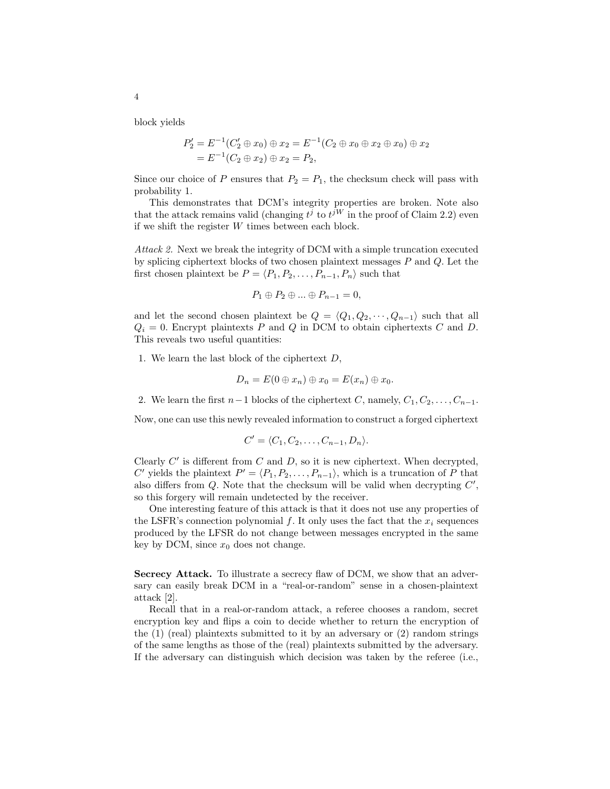block yields

$$
P'_2 = E^{-1}(C'_2 \oplus x_0) \oplus x_2 = E^{-1}(C_2 \oplus x_0 \oplus x_2 \oplus x_0) \oplus x_2
$$
  
=  $E^{-1}(C_2 \oplus x_2) \oplus x_2 = P_2$ ,

Since our choice of P ensures that  $P_2 = P_1$ , the checksum check will pass with probability 1.

This demonstrates that DCM's integrity properties are broken. Note also that the attack remains valid (changing  $t^j$  to  $t^{jW}$  in the proof of Claim 2.2) even if we shift the register W times between each block.

Attack 2. Next we break the integrity of DCM with a simple truncation executed by splicing ciphertext blocks of two chosen plaintext messages P and Q. Let the first chosen plaintext be  $P = \langle P_1, P_2, \ldots, P_{n-1}, P_n \rangle$  such that

$$
P_1 \oplus P_2 \oplus \dots \oplus P_{n-1} = 0,
$$

and let the second chosen plaintext be  $Q = \langle Q_1, Q_2, \cdots, Q_{n-1} \rangle$  such that all  $Q_i = 0$ . Encrypt plaintexts P and Q in DCM to obtain ciphertexts C and D. This reveals two useful quantities:

1. We learn the last block of the ciphertext  $D$ ,

$$
D_n = E(0 \oplus x_n) \oplus x_0 = E(x_n) \oplus x_0.
$$

2. We learn the first  $n-1$  blocks of the ciphertext C, namely,  $C_1, C_2, \ldots, C_{n-1}$ .

Now, one can use this newly revealed information to construct a forged ciphertext

$$
C'=\langle C_1,C_2,\ldots,C_{n-1},D_n\rangle.
$$

Clearly  $C'$  is different from  $C$  and  $D$ , so it is new ciphertext. When decrypted, C' yields the plaintext  $P' = \langle P_1, P_2, \ldots, P_{n-1} \rangle$ , which is a truncation of P that also differs from  $Q$ . Note that the checksum will be valid when decrypting  $C'$ , so this forgery will remain undetected by the receiver.

One interesting feature of this attack is that it does not use any properties of the LSFR's connection polynomial f. It only uses the fact that the  $x_i$  sequences produced by the LFSR do not change between messages encrypted in the same key by DCM, since  $x_0$  does not change.

Secrecy Attack. To illustrate a secrecy flaw of DCM, we show that an adversary can easily break DCM in a "real-or-random" sense in a chosen-plaintext attack [2].

Recall that in a real-or-random attack, a referee chooses a random, secret encryption key and flips a coin to decide whether to return the encryption of the  $(1)$  (real) plaintexts submitted to it by an adversary or  $(2)$  random strings of the same lengths as those of the (real) plaintexts submitted by the adversary. If the adversary can distinguish which decision was taken by the referee (i.e.,

4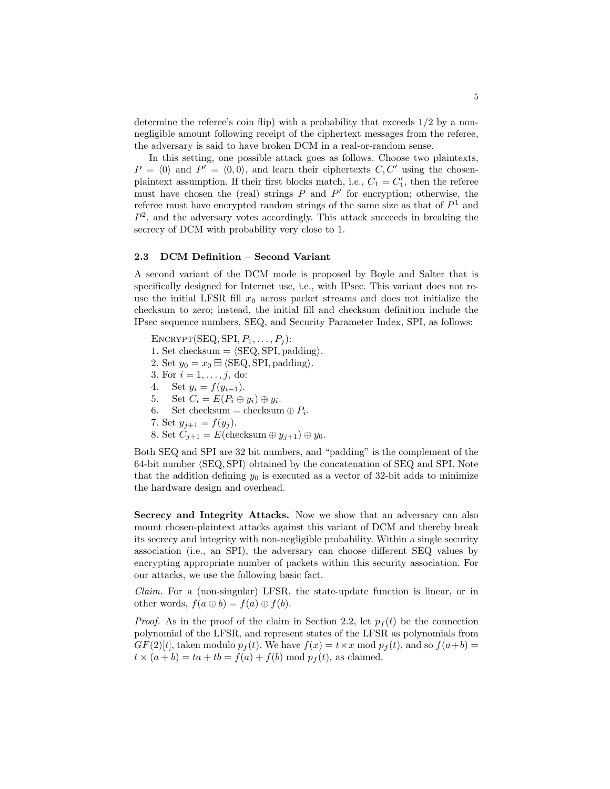determine the referee's coin flip) with a probability that exceeds  $1/2$  by a nonnegligible amount following receipt of the ciphertext messages from the referee, the adversary is said to have broken DCM in a real-or-random sense.

In this setting, one possible attack goes as follows. Choose two plaintexts,  $P = \langle 0 \rangle$  and  $P' = \langle 0, 0 \rangle$ , and learn their ciphertexts  $C, C'$  using the chosenplaintext assumption. If their first blocks match, i.e.,  $C_1 = C'_1$ , then the referee must have chosen the (real) strings  $P$  and  $P'$  for encryption; otherwise, the referee must have encrypted random strings of the same size as that of  $P<sup>1</sup>$  and  $P<sup>2</sup>$ , and the adversary votes accordingly. This attack succeeds in breaking the secrecy of DCM with probability very close to 1.

#### 2.3 DCM Definition – Second Variant

A second variant of the DCM mode is proposed by Boyle and Salter that is specifically designed for Internet use, i.e., with IPsec. This variant does not reuse the initial LFSR fill  $x_0$  across packet streams and does not initialize the checksum to zero; instead, the initial fill and checksum definition include the IPsec sequence numbers, SEQ, and Security Parameter Index, SPI, as follows:

 $\text{ENCRYPT}(\text{SEQ}, \text{SPI}, P_1, \ldots, P_j)$ : 1. Set checksum  $= \langle$  SEQ, SPI, padding $\rangle$ . 2. Set  $y_0 = x_0 \boxplus \langle \text{SEQ}, \text{SPI}, \text{padding} \rangle$ . 3. For  $i = 1, ..., j$ , do: 4. Set  $y_i = f(y_{i-1})$ . 5. Set  $C_i = E(P_i \oplus y_i) \oplus y_i$ . 6. Set checksum = checksum  $\oplus P_i$ . 7. Set  $y_{j+1} = f(y_j)$ . 8. Set  $C_{j+1} = E(\text{checksum} \oplus y_{j+1}) \oplus y_0$ .

Both SEQ and SPI are 32 bit numbers, and "padding" is the complement of the  $64$ -bit number  $\langle$ SEQ, SPI $\rangle$  obtained by the concatenation of SEQ and SPI. Note that the addition defining  $y_0$  is executed as a vector of 32-bit adds to minimize the hardware design and overhead.

Secrecy and Integrity Attacks. Now we show that an adversary can also mount chosen-plaintext attacks against this variant of DCM and thereby break its secrecy and integrity with non-negligible probability. Within a single security association (i.e., an SPI), the adversary can choose different SEQ values by encrypting appropriate number of packets within this security association. For our attacks, we use the following basic fact.

Claim. For a (non-singular) LFSR, the state-update function is linear, or in other words,  $f(a \oplus b) = f(a) \oplus f(b)$ .

*Proof.* As in the proof of the claim in Section 2.2, let  $p_f(t)$  be the connection polynomial of the LFSR, and represent states of the LFSR as polynomials from  $GF(2)[t]$ , taken modulo  $p_f(t)$ . We have  $f(x) = t \times x \mod p_f(t)$ , and so  $f(a+b) =$  $t \times (a + b) = ta + tb = f(a) + f(b) \mod p_f(t)$ , as claimed.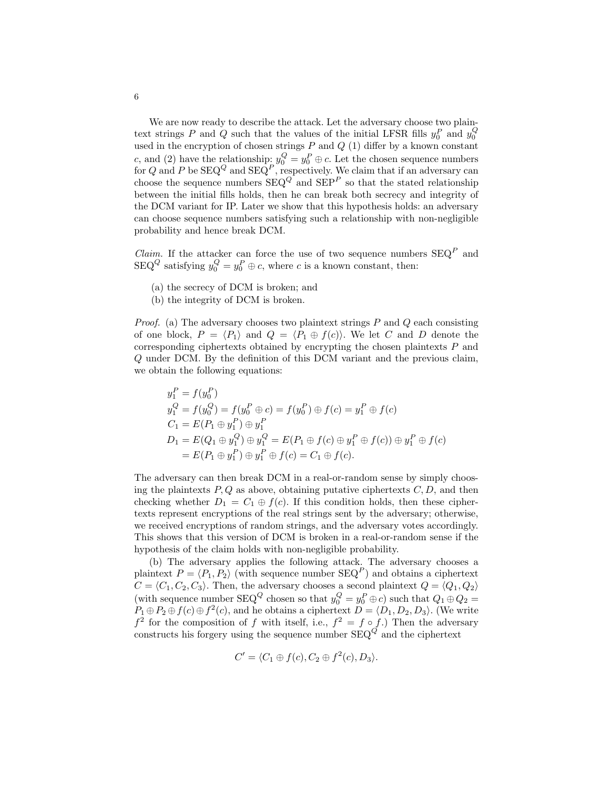We are now ready to describe the attack. Let the adversary choose two plaintext strings P and Q such that the values of the initial LFSR fills  $y_0^P$  and  $y_0^Q$ used in the encryption of chosen strings  $P$  and  $Q$  (1) differ by a known constant c, and (2) have the relationship:  $y_0^Q = y_0^P \oplus c$ . Let the chosen sequence numbers for Q and P be  $\text{SEQ}^Q$  and  $\text{SEQ}^P$ , respectively. We claim that if an adversary can choose the sequence numbers  $\text{SEQ}^Q$  and  $\text{SEP}^P$  so that the stated relationship between the initial fills holds, then he can break both secrecy and integrity of the DCM variant for IP. Later we show that this hypothesis holds: an adversary can choose sequence numbers satisfying such a relationship with non-negligible probability and hence break DCM.

*Claim.* If the attacker can force the use of two sequence numbers  $SEQ<sup>P</sup>$  and  $\text{SEQ}^Q$  satisfying  $y_0^Q = y_0^P \oplus c$ , where c is a known constant, then:

- (a) the secrecy of DCM is broken; and
- (b) the integrity of DCM is broken.

*Proof.* (a) The adversary chooses two plaintext strings  $P$  and  $Q$  each consisting of one block,  $P = \langle P_1 \rangle$  and  $Q = \langle P_1 \oplus f(c) \rangle$ . We let C and D denote the corresponding ciphertexts obtained by encrypting the chosen plaintexts  $P$  and Q under DCM. By the definition of this DCM variant and the previous claim, we obtain the following equations:

$$
y_1^P = f(y_0^P)
$$
  
\n
$$
y_1^Q = f(y_0^Q) = f(y_0^P \oplus c) = f(y_0^P) \oplus f(c) = y_1^P \oplus f(c)
$$
  
\n
$$
C_1 = E(P_1 \oplus y_1^P) \oplus y_1^P
$$
  
\n
$$
D_1 = E(Q_1 \oplus y_1^Q) \oplus y_1^Q = E(P_1 \oplus f(c) \oplus y_1^P \oplus f(c)) \oplus y_1^P \oplus f(c)
$$
  
\n
$$
= E(P_1 \oplus y_1^P) \oplus y_1^P \oplus f(c) = C_1 \oplus f(c).
$$

The adversary can then break DCM in a real-or-random sense by simply choosing the plaintexts  $P, Q$  as above, obtaining putative ciphertexts  $C, D$ , and then checking whether  $D_1 = C_1 \oplus f(c)$ . If this condition holds, then these ciphertexts represent encryptions of the real strings sent by the adversary; otherwise, we received encryptions of random strings, and the adversary votes accordingly. This shows that this version of DCM is broken in a real-or-random sense if the hypothesis of the claim holds with non-negligible probability.

(b) The adversary applies the following attack. The adversary chooses a plaintext  $P = \langle P_1, P_2 \rangle$  (with sequence number  $SEQ^P$ ) and obtains a ciphertext  $C = \langle C_1, C_2, C_3 \rangle$ . Then, the adversary chooses a second plaintext  $Q = \langle Q_1, Q_2 \rangle$ (with sequence number  $\text{SEQ}^Q$  chosen so that  $y_0^Q = y_0^P \oplus c$ ) such that  $Q_1 \oplus Q_2 =$  $P_1 \oplus P_2 \oplus f(c) \oplus f^2(c)$ , and he obtains a ciphertext  $D = \langle D_1, D_2, D_3 \rangle$ . (We write  $f<sup>2</sup>$  for the composition of f with itself, i.e.,  $f<sup>2</sup> = f \circ f$ .) Then the adversary constructs his forgery using the sequence number  $SEQ<sup>Q</sup>$  and the ciphertext

$$
C' = \langle C_1 \oplus f(c), C_2 \oplus f^2(c), D_3 \rangle.
$$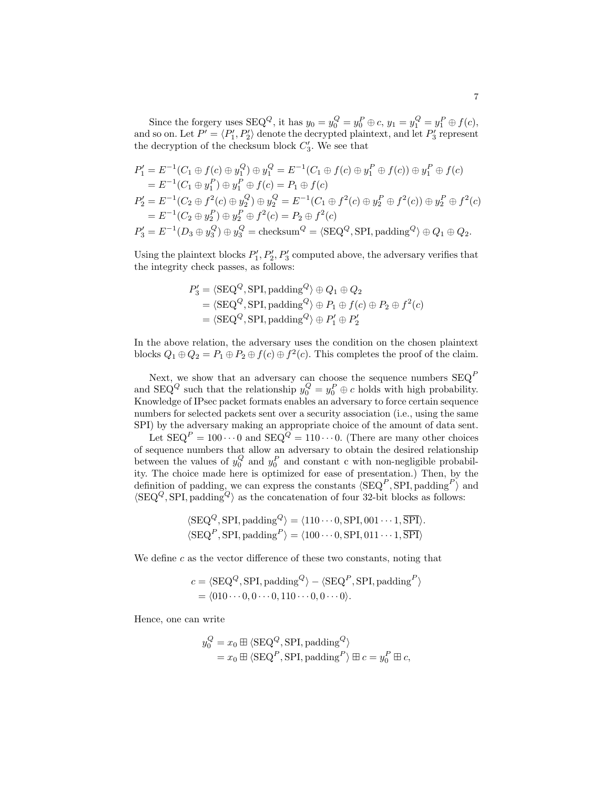Since the forgery uses  $SEQ^Q$ , it has  $y_0 = y_0^Q = y_0^P \oplus c$ ,  $y_1 = y_1^Q = y_1^P \oplus f(c)$ , and so on. Let  $P' = \langle P_1', P_2' \rangle$  denote the decrypted plaintext, and let  $P_3'$  represent the decryption of the checksum block  $C_3'$ . We see that

$$
P'_1 = E^{-1}(C_1 \oplus f(c) \oplus y_1^Q) \oplus y_1^Q = E^{-1}(C_1 \oplus f(c) \oplus y_1^P \oplus f(c)) \oplus y_1^P \oplus f(c)
$$
  
\n
$$
= E^{-1}(C_1 \oplus y_1^P) \oplus y_1^P \oplus f(c) = P_1 \oplus f(c)
$$
  
\n
$$
P'_2 = E^{-1}(C_2 \oplus f^2(c) \oplus y_2^Q) \oplus y_2^Q = E^{-1}(C_1 \oplus f^2(c) \oplus y_2^P \oplus f^2(c)) \oplus y_2^P \oplus f^2(c)
$$
  
\n
$$
= E^{-1}(C_2 \oplus y_2^P) \oplus y_2^P \oplus f^2(c) = P_2 \oplus f^2(c)
$$
  
\n
$$
P'_3 = E^{-1}(D_3 \oplus y_3^Q) \oplus y_3^Q = \text{checksum}^Q = \langle \text{SEQ}^Q, \text{SPI}, \text{padding}^Q \rangle \oplus Q_1 \oplus Q_2.
$$

Using the plaintext blocks  $P'_1, P'_2, P'_3$  computed above, the adversary verifies that the integrity check passes, as follows:

$$
P_3' = \langle \text{SEQ}^Q, \text{SPI}, \text{padding}^Q \rangle \oplus Q_1 \oplus Q_2
$$
  
= 
$$
\langle \text{SEQ}^Q, \text{SPI}, \text{padding}^Q \rangle \oplus P_1 \oplus f(c) \oplus P_2 \oplus f^2(c)
$$
  
= 
$$
\langle \text{SEQ}^Q, \text{SPI}, \text{padding}^Q \rangle \oplus P_1' \oplus P_2'
$$

In the above relation, the adversary uses the condition on the chosen plaintext blocks  $Q_1 \oplus Q_2 = P_1 \oplus P_2 \oplus f(c) \oplus f^2(c)$ . This completes the proof of the claim.

Next, we show that an adversary can choose the sequence numbers  $SEQ<sup>F</sup>$ and SEQ<sup>Q</sup> such that the relationship  $y_0^Q = y_0^P \oplus c$  holds with high probability. Knowledge of IPsec packet formats enables an adversary to force certain sequence numbers for selected packets sent over a security association (i.e., using the same SPI) by the adversary making an appropriate choice of the amount of data sent.

Let  $\text{SEQ}^P = 100 \cdots 0$  and  $\text{SEQ}^Q = 110 \cdots 0$ . (There are many other choices of sequence numbers that allow an adversary to obtain the desired relationship between the values of  $y_0^Q$  and  $y_0^P$  and constant c with non-negligible probability. The choice made here is optimized for ease of presentation.) Then, by the definition of padding, we can express the constants  $\langle$ SEQ<sup>P</sup>, SPI, padding<sup>P</sup> $\rangle$  and  $\langle \text{SEQ}^Q, \text{SPI}, \text{padding}^Q \rangle$  as the concatenation of four 32-bit blocks as follows:

$$
\langle \text{SEQ}^Q, \text{SPI}, \text{padding}^Q \rangle = \langle 110 \cdots 0, \text{SPI}, 001 \cdots 1, \overline{\text{SPI}} \rangle.
$$
  

$$
\langle \text{SEQ}^P, \text{SPI}, \text{padding}^P \rangle = \langle 100 \cdots 0, \text{SPI}, 011 \cdots 1, \overline{\text{SPI}} \rangle
$$

We define  $c$  as the vector difference of these two constants, noting that

$$
c = \langle \text{SEQ}^Q, \text{SPI}, \text{padding}^Q \rangle - \langle \text{SEQ}^P, \text{SPI}, \text{padding}^P \rangle
$$
  
=  $\langle 010 \cdots 0, 0 \cdots 0, 110 \cdots 0, 0 \cdots 0 \rangle$ .

Hence, one can write

$$
y_0^Q = x_0 \boxplus \langle \text{SEQ}^Q, \text{SPI}, \text{padding}^Q \rangle
$$
  
=  $x_0 \boxplus \langle \text{SEQ}^P, \text{SPI}, \text{padding}^P \rangle \boxplus c = y_0^P \boxplus c,$